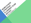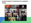#### YOUR SYNOD'S STRATEGIC PLANNING **TEAM**

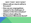### WHY THIS? WHY NOW?

- **• Where will our church will be in five years?**
- **• How can our congregations respond to the challenges of ministry in this time and place?**
- **• Where is God calling the Northeastern Minnesota Synod?**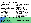### WHO DID WE LISTEN TO?

**Synod Council Outdoor Ministry/Camps Five conferences of our synod Together Here Food Insecurity Ministries First call rostered leaders Congregational council members Eco Faith Network Rostered leader candidates**

**Music Ministry Leaders Bible Study Groups Campus Ministry participants Youth Ministry leaders LYO members LGBTQ/Reconciled in Christ Congregations Lay Leader Network Elderly members Anti-Racism team …And anyone else who wanted to be included!**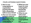### FOUR LISTENING QUESTIONS:

**1. How is your congregation or organization growing disciples with a deepening faith in Jesus Christ?**

**2. How are new people invited to share in the ministry and leadership of your congregation or organization?**

**3. What are your hopes for your congregation beyond the pandemic?**

- **4. What do you value most** 
	- **about being a**
	- **network of**
	- **congregations** 
		- **and**
		- **organizations**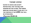### THEME VERSE

**LISTEN TO ADVICE AND ACCEPT INSTRUCTION, THAT YOU MAY GAIN WISDOM FOR THE FUTURE. THE HUMAN MIND MAY DEVISE MANY PLANS, BUT IT IS THE PURPOSE OF THE LORD THAT WILL BE ESTABLISHED. -PROVERBS 19:20-21**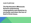#### OUR PURPOSE

### **The Northeastern Minnesota Synod is empowering congregations and ministries to encounter and share the love of God in Christ Jesus.**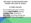### WE EXIST TO ENCOUNTER AND SHARE THE LOVE OF JESUS.

### 4 CORE VALUES:

Encountering the love of God, feeling **WELCOMED**, getting **CONNECTED**, working to **REFORM**, receiving and giving **SUPPORT**. Then do it again!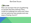

How can we learn the art of gathering so people feel they belong? How could our buildings be used now? How can we welcome new people and new ways of being church?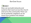

How can we build networks and systems that reach across the church and out to the community? How can we be authentic neighbors as we move from isolation into deeper connection?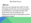

How can we rekindle the faith? In this changing world, how can we do justice, love kindness, and walk humbly with God? How can we embrace our baptismal call to love all people and the world God made?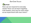

How can we respond to everyday needs? How can we learn together, train leaders, and care for each other as we experiment with new vision?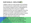## OUR GOALS: WELCOMET

1. Make a plan to invite people into the Body of Christ and into relationship with God and one another. Support every congregation in understanding their physical or digital neighborhood as we work together to be the church. Encourage congregations to work together to better understand what it means to make all people feel welcome. Equip pastors, deacons, leaders and

congregational teams to be places of hospitality, welcome, and engagement as people are introduced to the faith and participate in ministry we cannot imagine  $\pm$  to day.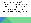# OUR GOALS: WELCOMET

2. Think outside the building. Imagine new ways of being church, showing up in unusual places and ways, new uses of technology, welcoming diversity, getting a bigger vision of what God is doing in our part of the world.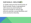# OUR GOALS: WELCOMET

3. Visibly welcome the full diversity of God's people. Equip congregations with resources and training to welcome people of various age, ethnicity, gender, sexual identities and socio economic diversity.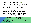### OUR GOALS: CONNECT

4. Develop and encourage new networks to make it easy to teach each other. We can share resources, social media, copyright issues management, training treasurers, growing a hybrid church, Bible studies, faith stories, and so much more. Create a gift sharing network across organizations and congregations so we are equipped to welcome new people. This includes a

musicians network, rural congregation network, anti-racism and LGBTQ+ training. The possibilities are endless as we do this work together.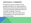### OUR GOALS: CONNECT

5. Network, share, and learn from people outside of our denomination. Expand ecumenical partnerships and community based ministries that are mutually valuable. This is an opportunity to discover why some congregations are growing and to learn from them.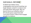### **OUR GOALS: REFORN**

6. Build new habits. Every congregation and synod meeting can begin deeply rooted in scripture and end with heart-felt prayer. We can launch this as an initiative with a 10-minute goal, supported with curriculum and/or videos that engage people in scripture.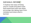# OUR GOALS: REFORM

7. Explore new ways of being church. Create innovation hubs that experiment with new ideas, encourage risk-taking, learn from mistakes and share what is learned.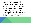# **OUR GOALS: REFORM**

8. Advocate for social justice. Educate, empower, and engage leadership in anti-racism work, creation care, LGBTQ+, mental health and reconciliation work to strengthen our congregational ministries in these areas.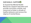

9. Expand the Mental Health Resources. Support education and provide curriculum, articles, and resources to foster a climate of healthy behavior and remove the stigma of mental illness.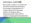### **OUR GOALS: SUPPOR**

10. Curate, create, or contract for Christian leadership formation. Encourage congregations to create systems for growing leaders of all ages with a deepening faith. Add staff to support congregational leadership

formation.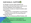### **OUR GOALS: SUPPOR**

11. Design a synod-wide initiative for preaching and teaching these values as we journey together from isolation to connection. Create an implementation plan that includes:

- · Calling every congregation to participate.
- · Creating resources for preaching and teaching values.
- · Sharing in small group Bible Studies. (All

ages.)

Creating space for congregational members engaged in conversation about these values.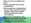#### HOW CAN WE ACCOMPLISH THIS?

- **Choose a goal that you are most excited about.**
- **Chat amongst your congregational group or those around you about this goal. Take time to wonder about how this goal could be accomplished.**
- **Write down your thoughts on the post-it note provided, and we will post them after this session in celebration of what God can do in our synodrometric contracts**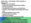#### HOW WILL WE MAKE THIS VISION A REALITY?

- **• build on our strengths**
- **• create new ways of supporting families**
- **• ask hard questions**
- **• commitment, new teams, and staff time.**
- **• reclaim a vision bigger than going back to the past**
- **• working together in new ways**
- **• support teams of leaders**
- **• add staff if needed**
- **• discern how to best steward our gifts**
- **• not imagining a fast turnaround**
- **• leaders across the synod engaging together**
- **• build new habits and have new conversations**
- **• learn how God is calling us to be church now**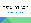#### **For the strategic planning team's full report, visit the synod website:**

**[www.nemnsynod.org](http://www.nemnsynod.org/)**